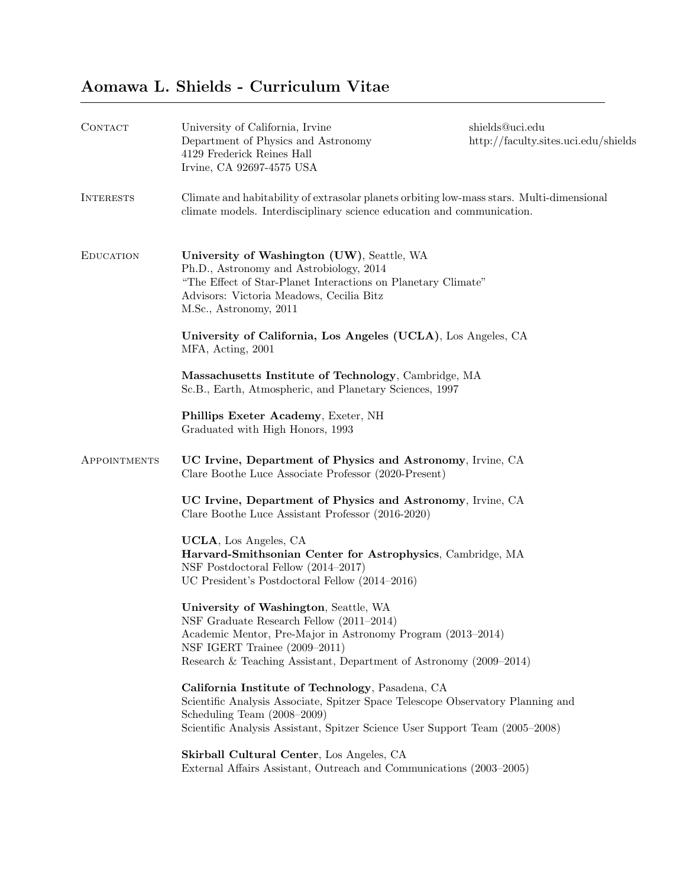## Aomawa L. Shields - Curriculum Vitae

| CONTACT          | University of California, Irvine<br>Department of Physics and Astronomy<br>4129 Frederick Reines Hall<br>Irvine, CA 92697-4575 USA                                                                                                                      | shields@uci.edu<br>http://faculty.sites.uci.edu/shields |
|------------------|---------------------------------------------------------------------------------------------------------------------------------------------------------------------------------------------------------------------------------------------------------|---------------------------------------------------------|
| <b>INTERESTS</b> | Climate and habitability of extrasolar planets orbiting low-mass stars. Multi-dimensional<br>climate models. Interdisciplinary science education and communication.                                                                                     |                                                         |
| <b>EDUCATION</b> | University of Washington (UW), Seattle, WA<br>Ph.D., Astronomy and Astrobiology, 2014<br>"The Effect of Star-Planet Interactions on Planetary Climate"<br>Advisors: Victoria Meadows, Cecilia Bitz<br>M.Sc., Astronomy, 2011                            |                                                         |
|                  | University of California, Los Angeles (UCLA), Los Angeles, CA<br>MFA, Acting, 2001                                                                                                                                                                      |                                                         |
|                  | Massachusetts Institute of Technology, Cambridge, MA<br>Sc.B., Earth, Atmospheric, and Planetary Sciences, 1997                                                                                                                                         |                                                         |
|                  | Phillips Exeter Academy, Exeter, NH<br>Graduated with High Honors, 1993                                                                                                                                                                                 |                                                         |
| APPOINTMENTS     | UC Irvine, Department of Physics and Astronomy, Irvine, CA<br>Clare Boothe Luce Associate Professor (2020-Present)                                                                                                                                      |                                                         |
|                  | UC Irvine, Department of Physics and Astronomy, Irvine, CA<br>Clare Boothe Luce Assistant Professor (2016-2020)                                                                                                                                         |                                                         |
|                  | UCLA, Los Angeles, CA<br>Harvard-Smithsonian Center for Astrophysics, Cambridge, MA<br>NSF Postdoctoral Fellow (2014–2017)<br>UC President's Postdoctoral Fellow (2014–2016)                                                                            |                                                         |
|                  | University of Washington, Seattle, WA<br>NSF Graduate Research Fellow (2011-2014)<br>Academic Mentor, Pre-Major in Astronomy Program (2013–2014)<br>NSF IGERT Trainee (2009–2011)<br>Research & Teaching Assistant, Department of Astronomy (2009–2014) |                                                         |
|                  | California Institute of Technology, Pasadena, CA<br>Scientific Analysis Associate, Spitzer Space Telescope Observatory Planning and<br>Scheduling Team $(2008-2009)$<br>Scientific Analysis Assistant, Spitzer Science User Support Team (2005–2008)    |                                                         |
|                  | Skirball Cultural Center, Los Angeles, CA<br>External Affairs Assistant, Outreach and Communications (2003–2005)                                                                                                                                        |                                                         |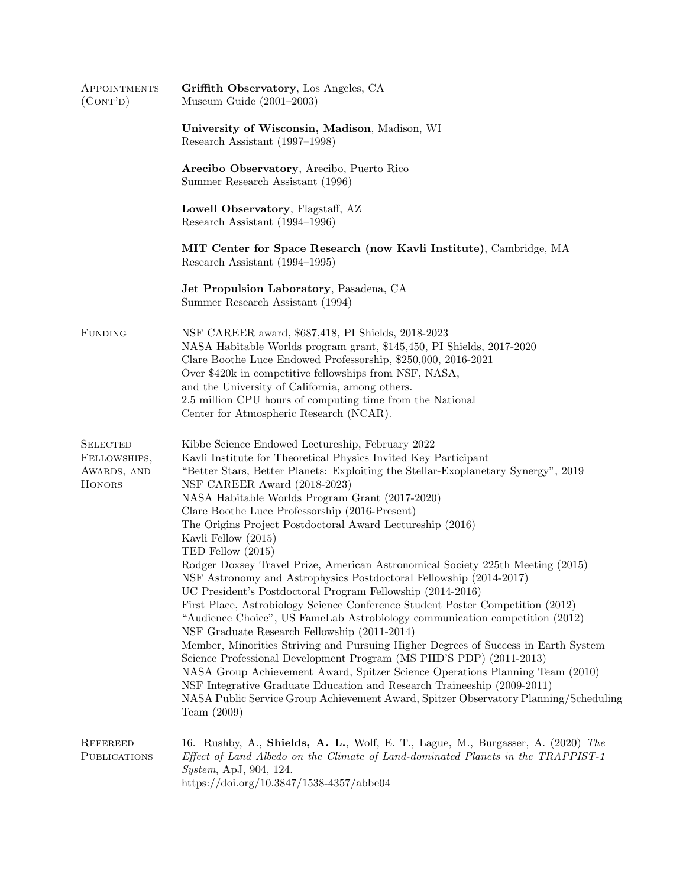| APPOINTMENTS<br>(CONT'D)                                        | Griffith Observatory, Los Angeles, CA<br>Museum Guide $(2001-2003)$                                                                                                                                                                                                                                                                                                                                                                                                                                                                                                                                                                                                                                                                                                                                                                                                                                                                                                                                                                                                                                                                                                                                                                                                                                                               |
|-----------------------------------------------------------------|-----------------------------------------------------------------------------------------------------------------------------------------------------------------------------------------------------------------------------------------------------------------------------------------------------------------------------------------------------------------------------------------------------------------------------------------------------------------------------------------------------------------------------------------------------------------------------------------------------------------------------------------------------------------------------------------------------------------------------------------------------------------------------------------------------------------------------------------------------------------------------------------------------------------------------------------------------------------------------------------------------------------------------------------------------------------------------------------------------------------------------------------------------------------------------------------------------------------------------------------------------------------------------------------------------------------------------------|
|                                                                 | University of Wisconsin, Madison, Madison, WI<br>Research Assistant (1997–1998)                                                                                                                                                                                                                                                                                                                                                                                                                                                                                                                                                                                                                                                                                                                                                                                                                                                                                                                                                                                                                                                                                                                                                                                                                                                   |
|                                                                 | Arecibo Observatory, Arecibo, Puerto Rico<br>Summer Research Assistant (1996)                                                                                                                                                                                                                                                                                                                                                                                                                                                                                                                                                                                                                                                                                                                                                                                                                                                                                                                                                                                                                                                                                                                                                                                                                                                     |
|                                                                 | Lowell Observatory, Flagstaff, AZ<br>Research Assistant (1994–1996)                                                                                                                                                                                                                                                                                                                                                                                                                                                                                                                                                                                                                                                                                                                                                                                                                                                                                                                                                                                                                                                                                                                                                                                                                                                               |
|                                                                 | MIT Center for Space Research (now Kavli Institute), Cambridge, MA<br>Research Assistant (1994–1995)                                                                                                                                                                                                                                                                                                                                                                                                                                                                                                                                                                                                                                                                                                                                                                                                                                                                                                                                                                                                                                                                                                                                                                                                                              |
|                                                                 | Jet Propulsion Laboratory, Pasadena, CA<br>Summer Research Assistant (1994)                                                                                                                                                                                                                                                                                                                                                                                                                                                                                                                                                                                                                                                                                                                                                                                                                                                                                                                                                                                                                                                                                                                                                                                                                                                       |
| <b>FUNDING</b>                                                  | NSF CAREER award, \$687,418, PI Shields, 2018-2023<br>NASA Habitable Worlds program grant, \$145,450, PI Shields, 2017-2020<br>Clare Boothe Luce Endowed Professorship, \$250,000, 2016-2021<br>Over \$420k in competitive fellowships from NSF, NASA,<br>and the University of California, among others.<br>2.5 million CPU hours of computing time from the National<br>Center for Atmospheric Research (NCAR).                                                                                                                                                                                                                                                                                                                                                                                                                                                                                                                                                                                                                                                                                                                                                                                                                                                                                                                 |
| <b>SELECTED</b><br>FELLOWSHIPS,<br>AWARDS, AND<br><b>HONORS</b> | Kibbe Science Endowed Lectureship, February 2022<br>Kavli Institute for Theoretical Physics Invited Key Participant<br>"Better Stars, Better Planets: Exploiting the Stellar-Exoplanetary Synergy", 2019<br>NSF CAREER Award (2018-2023)<br>NASA Habitable Worlds Program Grant (2017-2020)<br>Clare Boothe Luce Professorship (2016-Present)<br>The Origins Project Postdoctoral Award Lectureship (2016)<br>Kavli Fellow (2015)<br>TED Fellow $(2015)$<br>Rodger Doxsey Travel Prize, American Astronomical Society 225th Meeting (2015)<br>NSF Astronomy and Astrophysics Postdoctoral Fellowship (2014-2017)<br>UC President's Postdoctoral Program Fellowship (2014-2016)<br>First Place, Astrobiology Science Conference Student Poster Competition (2012)<br>"Audience Choice", US FameLab Astrobiology communication competition (2012)<br>NSF Graduate Research Fellowship (2011-2014)<br>Member, Minorities Striving and Pursuing Higher Degrees of Success in Earth System<br>Science Professional Development Program (MS PHD'S PDP) (2011-2013)<br>NASA Group Achievement Award, Spitzer Science Operations Planning Team (2010)<br>NSF Integrative Graduate Education and Research Traineeship (2009-2011)<br>NASA Public Service Group Achievement Award, Spitzer Observatory Planning/Scheduling<br>Team $(2009)$ |
| <b>REFEREED</b><br><b>PUBLICATIONS</b>                          | 16. Rushby, A., Shields, A. L., Wolf, E. T., Lague, M., Burgasser, A. (2020) The<br>Effect of Land Albedo on the Climate of Land-dominated Planets in the TRAPPIST-1<br><i>System, ApJ, 904, 124.</i><br>https://doi.org/10.3847/1538-4357/abbe04                                                                                                                                                                                                                                                                                                                                                                                                                                                                                                                                                                                                                                                                                                                                                                                                                                                                                                                                                                                                                                                                                 |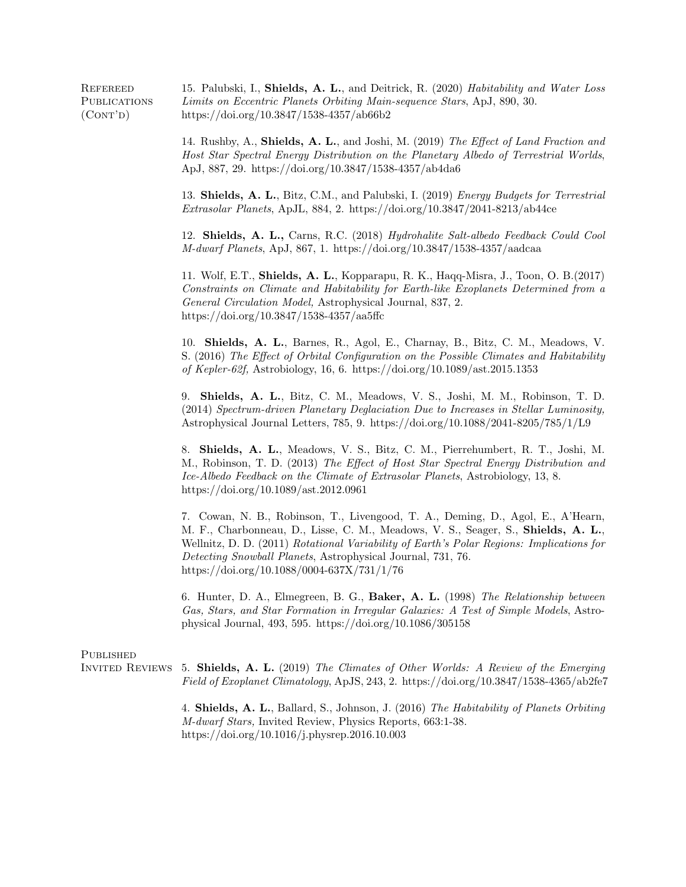REFEREED 15. Palubski, I., Shields, A. L., and Deitrick, R. (2020) Habitability and Water Loss **PUBLICATIONS**  $(CONT'D)$ Limits on Eccentric Planets Orbiting Main-sequence Stars, ApJ, 890, 30. https://doi.org/10.3847/1538-4357/ab66b2

> 14. Rushby, A., Shields, A. L., and Joshi, M. (2019) The Effect of Land Fraction and Host Star Spectral Energy Distribution on the Planetary Albedo of Terrestrial Worlds, ApJ, 887, 29. https://doi.org/10.3847/1538-4357/ab4da6

> 13. Shields, A. L., Bitz, C.M., and Palubski, I. (2019) Energy Budgets for Terrestrial Extrasolar Planets, ApJL, 884, 2. https://doi.org/10.3847/2041-8213/ab44ce

> 12. Shields, A. L., Carns, R.C. (2018) Hydrohalite Salt-albedo Feedback Could Cool M-dwarf Planets, ApJ, 867, 1. https://doi.org/10.3847/1538-4357/aadcaa

> 11. Wolf, E.T., Shields, A. L., Kopparapu, R. K., Haqq-Misra, J., Toon, O. B.(2017) Constraints on Climate and Habitability for Earth-like Exoplanets Determined from a General Circulation Model, Astrophysical Journal, 837, 2. https://doi.org/10.3847/1538-4357/aa5ffc

> 10. Shields, A. L., Barnes, R., Agol, E., Charnay, B., Bitz, C. M., Meadows, V. S. (2016) The Effect of Orbital Configuration on the Possible Climates and Habitability of Kepler-62f, Astrobiology, 16, 6. https://doi.org/10.1089/ast.2015.1353

> 9. Shields, A. L., Bitz, C. M., Meadows, V. S., Joshi, M. M., Robinson, T. D. (2014) Spectrum-driven Planetary Deglaciation Due to Increases in Stellar Luminosity, Astrophysical Journal Letters, 785, 9. https://doi.org/10.1088/2041-8205/785/1/L9

> 8. Shields, A. L., Meadows, V. S., Bitz, C. M., Pierrehumbert, R. T., Joshi, M. M., Robinson, T. D. (2013) The Effect of Host Star Spectral Energy Distribution and Ice-Albedo Feedback on the Climate of Extrasolar Planets, Astrobiology, 13, 8. https://doi.org/10.1089/ast.2012.0961

> 7. Cowan, N. B., Robinson, T., Livengood, T. A., Deming, D., Agol, E., A'Hearn, M. F., Charbonneau, D., Lisse, C. M., Meadows, V. S., Seager, S., Shields, A. L., Wellnitz, D. D. (2011) Rotational Variability of Earth's Polar Regions: Implications for Detecting Snowball Planets, Astrophysical Journal, 731, 76. https://doi.org/10.1088/0004-637X/731/1/76

> 6. Hunter, D. A., Elmegreen, B. G., Baker, A. L. (1998) The Relationship between Gas, Stars, and Star Formation in Irregular Galaxies: A Test of Simple Models, Astrophysical Journal, 493, 595. https://doi.org/10.1086/305158

## **PUBLISHED**

Invited Reviews 5. Shields, A. L. (2019) The Climates of Other Worlds: A Review of the Emerging Field of Exoplanet Climatology, ApJS, 243, 2. https://doi.org/10.3847/1538-4365/ab2fe7

> 4. Shields, A. L., Ballard, S., Johnson, J. (2016) The Habitability of Planets Orbiting M-dwarf Stars, Invited Review, Physics Reports, 663:1-38. https://doi.org/10.1016/j.physrep.2016.10.003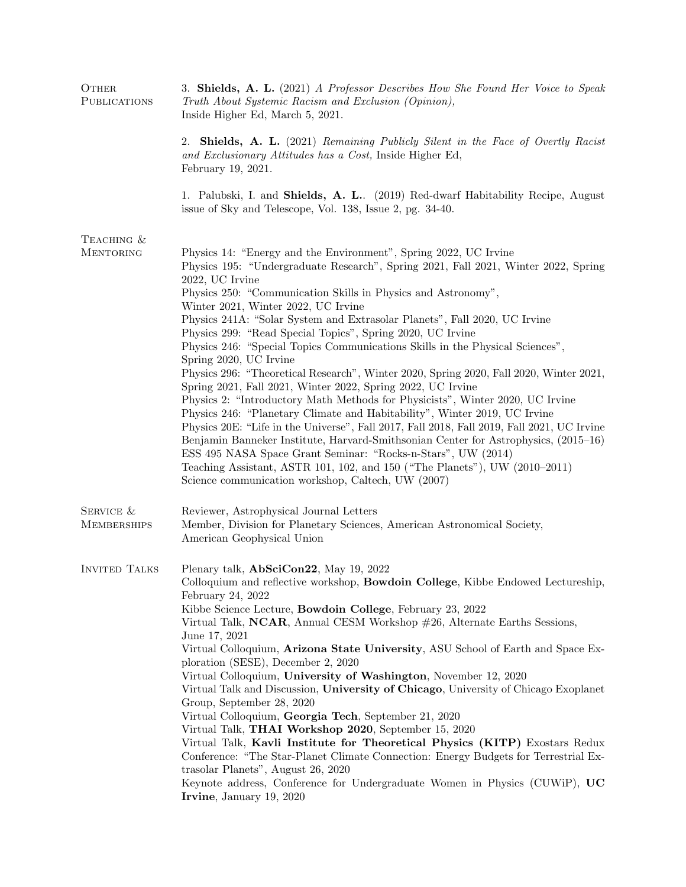| OTHER<br><b>PUBLICATIONS</b>    | 3. Shields, A. L. (2021) A Professor Describes How She Found Her Voice to Speak<br>Truth About Systemic Racism and Exclusion (Opinion),<br>Inside Higher Ed, March 5, 2021.                                                                                                                                                                                                                                                                                                                                                                                                                                                                                                                                    |
|---------------------------------|----------------------------------------------------------------------------------------------------------------------------------------------------------------------------------------------------------------------------------------------------------------------------------------------------------------------------------------------------------------------------------------------------------------------------------------------------------------------------------------------------------------------------------------------------------------------------------------------------------------------------------------------------------------------------------------------------------------|
|                                 | 2. Shields, A. L. (2021) Remaining Publicly Silent in the Face of Overtly Racist<br>and Exclusionary Attitudes has a Cost, Inside Higher Ed,<br>February 19, 2021.                                                                                                                                                                                                                                                                                                                                                                                                                                                                                                                                             |
|                                 | 1. Palubski, I. and Shields, A. L. (2019) Red-dwarf Habitability Recipe, August<br>issue of Sky and Telescope, Vol. 138, Issue 2, pg. 34-40.                                                                                                                                                                                                                                                                                                                                                                                                                                                                                                                                                                   |
| TEACHING &                      |                                                                                                                                                                                                                                                                                                                                                                                                                                                                                                                                                                                                                                                                                                                |
| <b>MENTORING</b>                | Physics 14: "Energy and the Environment", Spring 2022, UC Irvine<br>Physics 195: "Undergraduate Research", Spring 2021, Fall 2021, Winter 2022, Spring<br>2022, UC Irvine<br>Physics 250: "Communication Skills in Physics and Astronomy",<br>Winter 2021, Winter 2022, UC Irvine                                                                                                                                                                                                                                                                                                                                                                                                                              |
|                                 | Physics 241A: "Solar System and Extrasolar Planets", Fall 2020, UC Irvine                                                                                                                                                                                                                                                                                                                                                                                                                                                                                                                                                                                                                                      |
|                                 | Physics 299: "Read Special Topics", Spring 2020, UC Irvine                                                                                                                                                                                                                                                                                                                                                                                                                                                                                                                                                                                                                                                     |
|                                 | Physics 246: "Special Topics Communications Skills in the Physical Sciences",<br>Spring 2020, UC Irvine                                                                                                                                                                                                                                                                                                                                                                                                                                                                                                                                                                                                        |
|                                 | Physics 296: "Theoretical Research", Winter 2020, Spring 2020, Fall 2020, Winter 2021,<br>Spring 2021, Fall 2021, Winter 2022, Spring 2022, UC Irvine<br>Physics 2: "Introductory Math Methods for Physicists", Winter 2020, UC Irvine<br>Physics 246: "Planetary Climate and Habitability", Winter 2019, UC Irvine<br>Physics 20E: "Life in the Universe", Fall 2017, Fall 2018, Fall 2019, Fall 2021, UC Irvine<br>Benjamin Banneker Institute, Harvard-Smithsonian Center for Astrophysics, (2015–16)<br>ESS 495 NASA Space Grant Seminar: "Rocks-n-Stars", UW (2014)<br>Teaching Assistant, ASTR 101, 102, and 150 ("The Planets"), UW $(2010-2011)$<br>Science communication workshop, Caltech, UW (2007) |
| SERVICE &<br><b>MEMBERSHIPS</b> | Reviewer, Astrophysical Journal Letters<br>Member, Division for Planetary Sciences, American Astronomical Society,<br>American Geophysical Union                                                                                                                                                                                                                                                                                                                                                                                                                                                                                                                                                               |
| <b>INVITED TALKS</b>            | Plenary talk, AbSciCon22, May 19, 2022                                                                                                                                                                                                                                                                                                                                                                                                                                                                                                                                                                                                                                                                         |
|                                 | Colloquium and reflective workshop, <b>Bowdoin College</b> , Kibbe Endowed Lectureship,<br>February 24, $2022$                                                                                                                                                                                                                                                                                                                                                                                                                                                                                                                                                                                                 |
|                                 | Kibbe Science Lecture, Bowdoin College, February 23, 2022                                                                                                                                                                                                                                                                                                                                                                                                                                                                                                                                                                                                                                                      |
|                                 | Virtual Talk, NCAR, Annual CESM Workshop #26, Alternate Earths Sessions,                                                                                                                                                                                                                                                                                                                                                                                                                                                                                                                                                                                                                                       |
|                                 | June 17, 2021<br>Virtual Colloquium, Arizona State University, ASU School of Earth and Space Ex-                                                                                                                                                                                                                                                                                                                                                                                                                                                                                                                                                                                                               |
|                                 | ploration (SESE), December 2, 2020                                                                                                                                                                                                                                                                                                                                                                                                                                                                                                                                                                                                                                                                             |
|                                 | Virtual Colloquium, University of Washington, November 12, 2020                                                                                                                                                                                                                                                                                                                                                                                                                                                                                                                                                                                                                                                |
|                                 | Virtual Talk and Discussion, University of Chicago, University of Chicago Exoplanet<br>Group, September 28, 2020                                                                                                                                                                                                                                                                                                                                                                                                                                                                                                                                                                                               |
|                                 | Virtual Colloquium, Georgia Tech, September 21, 2020                                                                                                                                                                                                                                                                                                                                                                                                                                                                                                                                                                                                                                                           |
|                                 | Virtual Talk, THAI Workshop 2020, September 15, 2020                                                                                                                                                                                                                                                                                                                                                                                                                                                                                                                                                                                                                                                           |
|                                 | Virtual Talk, Kavli Institute for Theoretical Physics (KITP) Exostars Redux<br>Conference: "The Star-Planet Climate Connection: Energy Budgets for Terrestrial Ex-                                                                                                                                                                                                                                                                                                                                                                                                                                                                                                                                             |
|                                 | trasolar Planets", August 26, 2020<br>Keynote address, Conference for Undergraduate Women in Physics (CUWiP), UC                                                                                                                                                                                                                                                                                                                                                                                                                                                                                                                                                                                               |
|                                 | Irvine, January 19, 2020                                                                                                                                                                                                                                                                                                                                                                                                                                                                                                                                                                                                                                                                                       |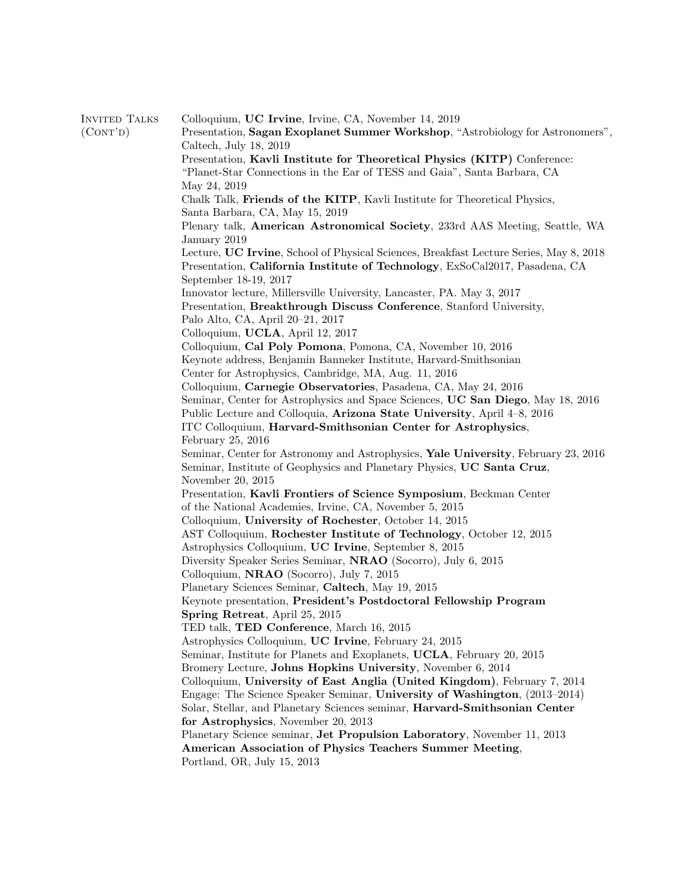| <b>INVITED TALKS</b> | Colloquium, UC Irvine, Irvine, CA, November 14, 2019                                   |
|----------------------|----------------------------------------------------------------------------------------|
| (CONT'D)             | Presentation, Sagan Exoplanet Summer Workshop, "Astrobiology for Astronomers",         |
|                      | Caltech, July 18, 2019                                                                 |
|                      | Presentation, Kavli Institute for Theoretical Physics (KITP) Conference:               |
|                      | "Planet-Star Connections in the Ear of TESS and Gaia", Santa Barbara, CA               |
|                      | May 24, 2019                                                                           |
|                      | Chalk Talk, Friends of the KITP, Kavli Institute for Theoretical Physics,              |
|                      | Santa Barbara, CA, May 15, 2019                                                        |
|                      | Plenary talk, American Astronomical Society, 233rd AAS Meeting, Seattle, WA            |
|                      | January 2019                                                                           |
|                      | Lecture, UC Irvine, School of Physical Sciences, Breakfast Lecture Series, May 8, 2018 |
|                      | Presentation, California Institute of Technology, ExSoCal2017, Pasadena, CA            |
|                      | September 18-19, 2017                                                                  |
|                      | Innovator lecture, Millersville University, Lancaster, PA. May 3, 2017                 |
|                      | Presentation, Breakthrough Discuss Conference, Stanford University,                    |
|                      | Palo Alto, CA, April 20-21, 2017                                                       |
|                      | Colloquium, UCLA, April 12, 2017                                                       |
|                      | Colloquium, Cal Poly Pomona, Pomona, CA, November 10, 2016                             |
|                      | Keynote address, Benjamin Banneker Institute, Harvard-Smithsonian                      |
|                      | Center for Astrophysics, Cambridge, MA, Aug. 11, 2016                                  |
|                      | Colloquium, Carnegie Observatories, Pasadena, CA, May 24, 2016                         |
|                      | Seminar, Center for Astrophysics and Space Sciences, UC San Diego, May 18, 2016        |
|                      | Public Lecture and Colloquia, Arizona State University, April 4-8, 2016                |
|                      | ITC Colloquium, Harvard-Smithsonian Center for Astrophysics,                           |
|                      | February 25, 2016                                                                      |
|                      | Seminar, Center for Astronomy and Astrophysics, Yale University, February 23, 2016     |
|                      | Seminar, Institute of Geophysics and Planetary Physics, UC Santa Cruz,                 |
|                      | November 20, 2015                                                                      |
|                      | Presentation, Kavli Frontiers of Science Symposium, Beckman Center                     |
|                      | of the National Academies, Irvine, CA, November 5, 2015                                |
|                      | Colloquium, University of Rochester, October 14, 2015                                  |
|                      | AST Colloquium, Rochester Institute of Technology, October 12, 2015                    |
|                      | Astrophysics Colloquium, UC Irvine, September 8, 2015                                  |
|                      | Diversity Speaker Series Seminar, NRAO (Socorro), July 6, 2015                         |
|                      | Colloquium, <b>NRAO</b> (Socorro), July 7, 2015                                        |
|                      | Planetary Sciences Seminar, Caltech, May 19, 2015                                      |
|                      | Keynote presentation, President's Postdoctoral Fellowship Program                      |
|                      | Spring Retreat, April 25, 2015                                                         |
|                      | TED talk, TED Conference, March 16, 2015                                               |
|                      | Astrophysics Colloquium, UC Irvine, February 24, 2015                                  |
|                      | Seminar, Institute for Planets and Exoplanets, UCLA, February 20, 2015                 |
|                      | Bromery Lecture, Johns Hopkins University, November 6, 2014                            |
|                      | Colloquium, University of East Anglia (United Kingdom), February 7, 2014               |
|                      | Engage: The Science Speaker Seminar, University of Washington, (2013–2014)             |
|                      | Solar, Stellar, and Planetary Sciences seminar, Harvard-Smithsonian Center             |
|                      | for Astrophysics, November 20, 2013                                                    |
|                      | Planetary Science seminar, Jet Propulsion Laboratory, November 11, 2013                |
|                      | American Association of Physics Teachers Summer Meeting,                               |
|                      | Portland, OR, July 15, 2013                                                            |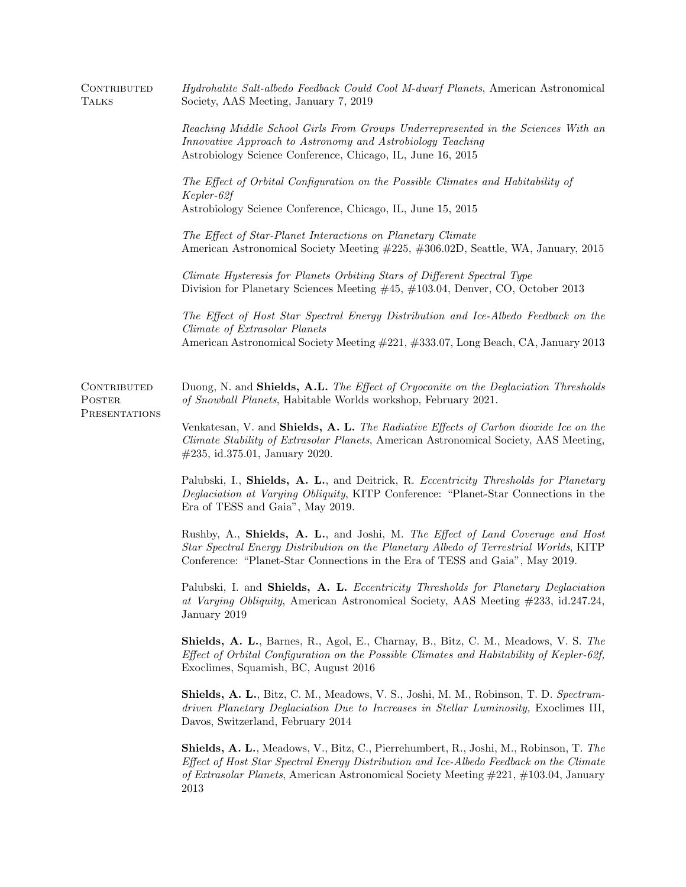| CONTRIBUTED<br>TALKS                          | Hydrohalite Salt-albedo Feedback Could Cool M-dwarf Planets, American Astronomical<br>Society, AAS Meeting, January 7, 2019                                                                                                                                                                  |
|-----------------------------------------------|----------------------------------------------------------------------------------------------------------------------------------------------------------------------------------------------------------------------------------------------------------------------------------------------|
|                                               | Reaching Middle School Girls From Groups Underrepresented in the Sciences With an<br>Innovative Approach to Astronomy and Astrobiology Teaching<br>Astrobiology Science Conference, Chicago, IL, June 16, 2015                                                                               |
|                                               | The Effect of Orbital Configuration on the Possible Climates and Habitability of<br>Kepler-62f<br>Astrobiology Science Conference, Chicago, IL, June 15, 2015                                                                                                                                |
|                                               | The Effect of Star-Planet Interactions on Planetary Climate<br>American Astronomical Society Meeting #225, #306.02D, Seattle, WA, January, 2015                                                                                                                                              |
|                                               | Climate Hysteresis for Planets Orbiting Stars of Different Spectral Type<br>Division for Planetary Sciences Meeting $\#45$ , $\#103.04$ , Denver, CO, October 2013                                                                                                                           |
|                                               | The Effect of Host Star Spectral Energy Distribution and Ice-Albedo Feedback on the<br>Climate of Extrasolar Planets<br>American Astronomical Society Meeting #221, #333.07, Long Beach, CA, January 2013                                                                                    |
| CONTRIBUTED<br><b>POSTER</b><br>PRESENTATIONS | Duong, N. and Shields, A.L. The Effect of Cryoconite on the Deglaciation Thresholds<br>of Snowball Planets, Habitable Worlds workshop, February 2021.                                                                                                                                        |
|                                               | Venkatesan, V. and Shields, A. L. The Radiative Effects of Carbon dioxide Ice on the<br>Climate Stability of Extrasolar Planets, American Astronomical Society, AAS Meeting,<br>$\#235$ , id.375.01, January 2020.                                                                           |
|                                               | Palubski, I., Shields, A. L., and Deitrick, R. Eccentricity Thresholds for Planetary<br>Deglaciation at Varying Obliquity, KITP Conference: "Planet-Star Connections in the<br>Era of TESS and Gaia", May 2019.                                                                              |
|                                               | Rushby, A., Shields, A. L., and Joshi, M. The Effect of Land Coverage and Host<br>Star Spectral Energy Distribution on the Planetary Albedo of Terrestrial Worlds, KITP<br>Conference: "Planet-Star Connections in the Era of TESS and Gaia", May 2019.                                      |
|                                               | Palubski, I. and Shields, A. L. Eccentricity Thresholds for Planetary Deglaciation<br>at Varying Obliquity, American Astronomical Society, AAS Meeting #233, id.247.24,<br>January 2019                                                                                                      |
|                                               | <b>Shields, A. L.</b> , Barnes, R., Agol, E., Charnay, B., Bitz, C. M., Meadows, V. S. The<br>Effect of Orbital Configuration on the Possible Climates and Habitability of Kepler-62f,<br>Exoclimes, Squamish, BC, August 2016                                                               |
|                                               | Shields, A. L., Bitz, C. M., Meadows, V. S., Joshi, M. M., Robinson, T. D. Spectrum-<br>driven Planetary Deglaciation Due to Increases in Stellar Luminosity, Exoclimes III,<br>Davos, Switzerland, February 2014                                                                            |
|                                               | <b>Shields, A. L.</b> , Meadows, V., Bitz, C., Pierrehumbert, R., Joshi, M., Robinson, T. The<br>Effect of Host Star Spectral Energy Distribution and Ice-Albedo Feedback on the Climate<br>of Extrasolar Planets, American Astronomical Society Meeting $\#221, \#103.04$ , January<br>2013 |
|                                               |                                                                                                                                                                                                                                                                                              |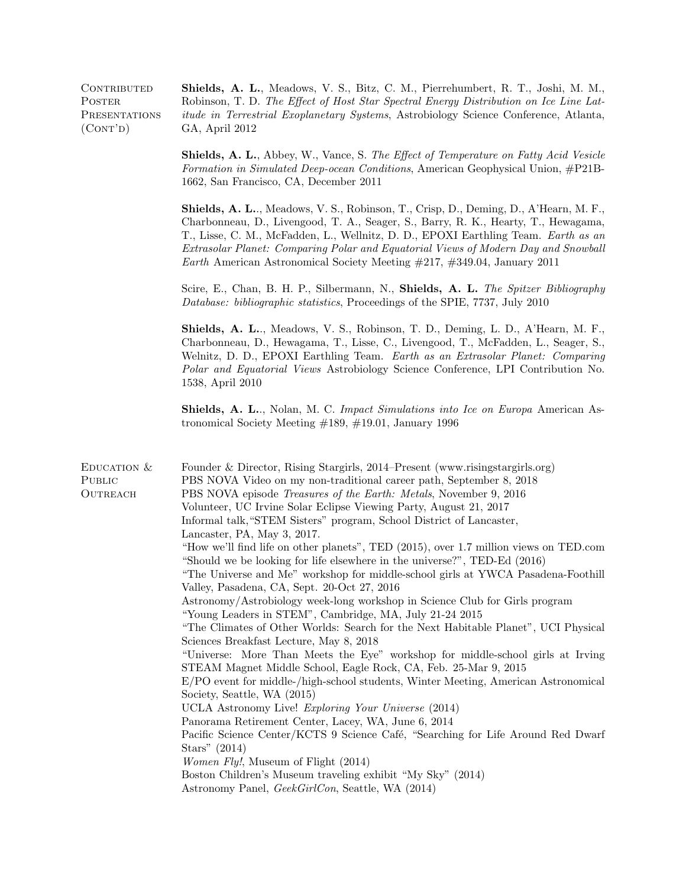**POSTER PRESENTATIONS**  $(CONT'D)$ 

Contributed Shields, A. L., Meadows, V. S., Bitz, C. M., Pierrehumbert, R. T., Joshi, M. M., Robinson, T. D. The Effect of Host Star Spectral Energy Distribution on Ice Line Latitude in Terrestrial Exoplanetary Systems, Astrobiology Science Conference, Atlanta, GA, April 2012

> Shields, A. L., Abbey, W., Vance, S. The Effect of Temperature on Fatty Acid Vesicle Formation in Simulated Deep-ocean Conditions, American Geophysical Union, #P21B-1662, San Francisco, CA, December 2011

> Shields, A. L.., Meadows, V. S., Robinson, T., Crisp, D., Deming, D., A'Hearn, M. F., Charbonneau, D., Livengood, T. A., Seager, S., Barry, R. K., Hearty, T., Hewagama, T., Lisse, C. M., McFadden, L., Wellnitz, D. D., EPOXI Earthling Team. Earth as an Extrasolar Planet: Comparing Polar and Equatorial Views of Modern Day and Snowball Earth American Astronomical Society Meeting #217, #349.04, January 2011

> Scire, E., Chan, B. H. P., Silbermann, N., Shields, A. L. The Spitzer Bibliography Database: bibliographic statistics, Proceedings of the SPIE, 7737, July 2010

> Shields, A. L.., Meadows, V. S., Robinson, T. D., Deming, L. D., A'Hearn, M. F., Charbonneau, D., Hewagama, T., Lisse, C., Livengood, T., McFadden, L., Seager, S., Welnitz, D. D., EPOXI Earthling Team. Earth as an Extrasolar Planet: Comparing Polar and Equatorial Views Astrobiology Science Conference, LPI Contribution No. 1538, April 2010

> Shields, A. L.., Nolan, M. C. Impact Simulations into Ice on Europa American Astronomical Society Meeting #189, #19.01, January 1996

| EDUCATION $&$<br>PUBLIC<br>OUTREACH | Founder & Director, Rising Stargirls, 2014–Present (www.risingstargirls.org)<br>PBS NOVA Video on my non-traditional career path, September 8, 2018<br>PBS NOVA episode <i>Treasures of the Earth: Metals</i> , November 9, 2016<br>Volunteer, UC Irvine Solar Eclipse Viewing Party, August 21, 2017<br>Informal talk, "STEM Sisters" program, School District of Lancaster,<br>Lancaster, PA, May 3, 2017.<br>"How we'll find life on other planets", TED (2015), over 1.7 million views on TED.com<br>"Should we be looking for life elsewhere in the universe?", TED-Ed (2016)<br>"The Universe and Me" workshop for middle-school girls at YWCA Pasadena-Foothill<br>Valley, Pasadena, CA, Sept. 20-Oct 27, 2016<br>Astronomy/Astrobiology week-long workshop in Science Club for Girls program<br>"Young Leaders in STEM", Cambridge, MA, July 21-24 2015<br>"The Climates of Other Worlds: Search for the Next Habitable Planet", UCI Physical |
|-------------------------------------|-------------------------------------------------------------------------------------------------------------------------------------------------------------------------------------------------------------------------------------------------------------------------------------------------------------------------------------------------------------------------------------------------------------------------------------------------------------------------------------------------------------------------------------------------------------------------------------------------------------------------------------------------------------------------------------------------------------------------------------------------------------------------------------------------------------------------------------------------------------------------------------------------------------------------------------------------------|
|                                     | Sciences Breakfast Lecture, May 8, 2018<br>"Universe: More Than Meets the Eye" workshop for middle-school girls at Irving<br>STEAM Magnet Middle School, Eagle Rock, CA, Feb. 25-Mar 9, 2015<br>E/PO event for middle-/high-school students, Winter Meeting, American Astronomical<br>Society, Seattle, WA (2015)<br>UCLA Astronomy Live! Exploring Your Universe (2014)<br>Panorama Retirement Center, Lacey, WA, June 6, 2014<br>Pacific Science Center/KCTS 9 Science Café, "Searching for Life Around Red Dwarf<br>Stars" $(2014)$<br><i>Women Fly!</i> , Museum of Flight (2014)                                                                                                                                                                                                                                                                                                                                                                 |
|                                     | Boston Children's Museum traveling exhibit "My Sky" (2014)<br>Astronomy Panel, <i>GeekGirlCon</i> , Seattle, WA (2014)                                                                                                                                                                                                                                                                                                                                                                                                                                                                                                                                                                                                                                                                                                                                                                                                                                |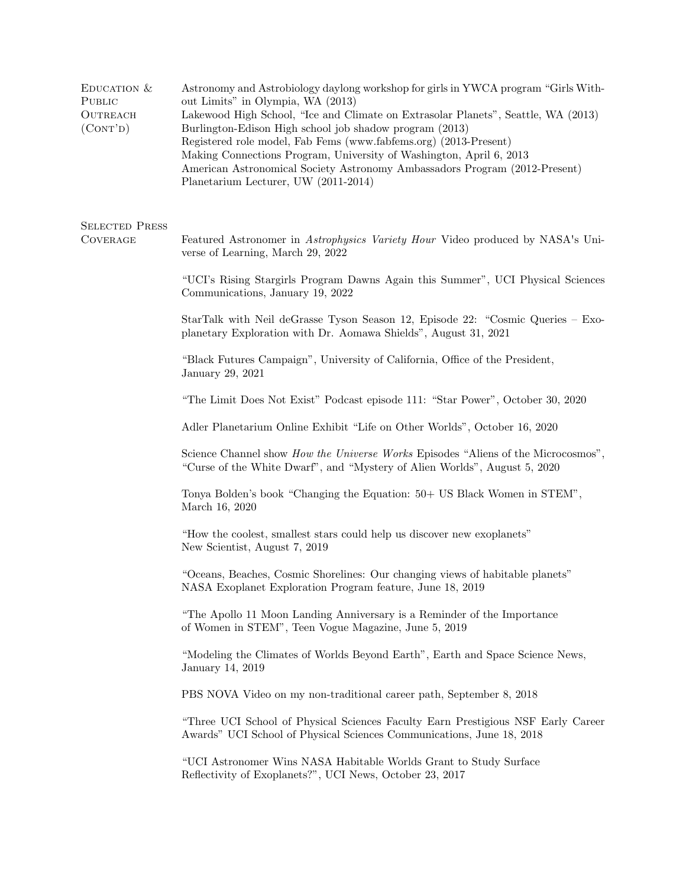| EDUCATION $&$<br>PUBLIC<br><b>OUTREACH</b><br>(CONT'D) | Astronomy and Astrobiology daylong workshop for girls in YWCA program "Girls With-<br>out Limits" in Olympia, WA (2013)<br>Lakewood High School, "Ice and Climate on Extrasolar Planets", Seattle, WA (2013)<br>Burlington-Edison High school job shadow program (2013)<br>Registered role model, Fab Fems (www.fabfems.org) (2013-Present)<br>Making Connections Program, University of Washington, April 6, 2013<br>American Astronomical Society Astronomy Ambassadors Program (2012-Present)<br>Planetarium Lecturer, UW (2011-2014) |
|--------------------------------------------------------|------------------------------------------------------------------------------------------------------------------------------------------------------------------------------------------------------------------------------------------------------------------------------------------------------------------------------------------------------------------------------------------------------------------------------------------------------------------------------------------------------------------------------------------|
| <b>SELECTED PRESS</b><br><b>COVERAGE</b>               | Featured Astronomer in Astrophysics Variety Hour Video produced by NASA's Uni-<br>verse of Learning, March 29, 2022                                                                                                                                                                                                                                                                                                                                                                                                                      |
|                                                        | "UCI's Rising Stargirls Program Dawns Again this Summer", UCI Physical Sciences<br>Communications, January 19, 2022                                                                                                                                                                                                                                                                                                                                                                                                                      |
|                                                        | StarTalk with Neil deGrasse Tyson Season 12, Episode 22: "Cosmic Queries – Exo-<br>planetary Exploration with Dr. Aomawa Shields", August 31, 2021                                                                                                                                                                                                                                                                                                                                                                                       |
|                                                        | "Black Futures Campaign", University of California, Office of the President,<br>January 29, 2021                                                                                                                                                                                                                                                                                                                                                                                                                                         |
|                                                        | "The Limit Does Not Exist" Podcast episode 111: "Star Power", October 30, 2020                                                                                                                                                                                                                                                                                                                                                                                                                                                           |
|                                                        | Adler Planetarium Online Exhibit "Life on Other Worlds", October 16, 2020                                                                                                                                                                                                                                                                                                                                                                                                                                                                |
|                                                        | Science Channel show <i>How the Universe Works</i> Episodes "Aliens of the Microcosmos",<br>"Curse of the White Dwarf", and "Mystery of Alien Worlds", August 5, 2020                                                                                                                                                                                                                                                                                                                                                                    |
|                                                        | Tonya Bolden's book "Changing the Equation: 50+ US Black Women in STEM",<br>March 16, 2020                                                                                                                                                                                                                                                                                                                                                                                                                                               |
|                                                        | "How the coolest, smallest stars could help us discover new exoplanets"<br>New Scientist, August 7, 2019                                                                                                                                                                                                                                                                                                                                                                                                                                 |
|                                                        | "Oceans, Beaches, Cosmic Shorelines: Our changing views of habitable planets"<br>NASA Exoplanet Exploration Program feature, June 18, 2019                                                                                                                                                                                                                                                                                                                                                                                               |
|                                                        | "The Apollo 11 Moon Landing Anniversary is a Reminder of the Importance<br>of Women in STEM", Teen Vogue Magazine, June 5, 2019                                                                                                                                                                                                                                                                                                                                                                                                          |
|                                                        | "Modeling the Climates of Worlds Beyond Earth", Earth and Space Science News,<br>January 14, 2019                                                                                                                                                                                                                                                                                                                                                                                                                                        |
|                                                        | PBS NOVA Video on my non-traditional career path, September 8, 2018                                                                                                                                                                                                                                                                                                                                                                                                                                                                      |
|                                                        | "Three UCI School of Physical Sciences Faculty Earn Prestigious NSF Early Career<br>Awards" UCI School of Physical Sciences Communications, June 18, 2018                                                                                                                                                                                                                                                                                                                                                                                |
|                                                        | "UCI Astronomer Wins NASA Habitable Worlds Grant to Study Surface<br>Reflectivity of Exoplanets?", UCI News, October 23, 2017                                                                                                                                                                                                                                                                                                                                                                                                            |
|                                                        |                                                                                                                                                                                                                                                                                                                                                                                                                                                                                                                                          |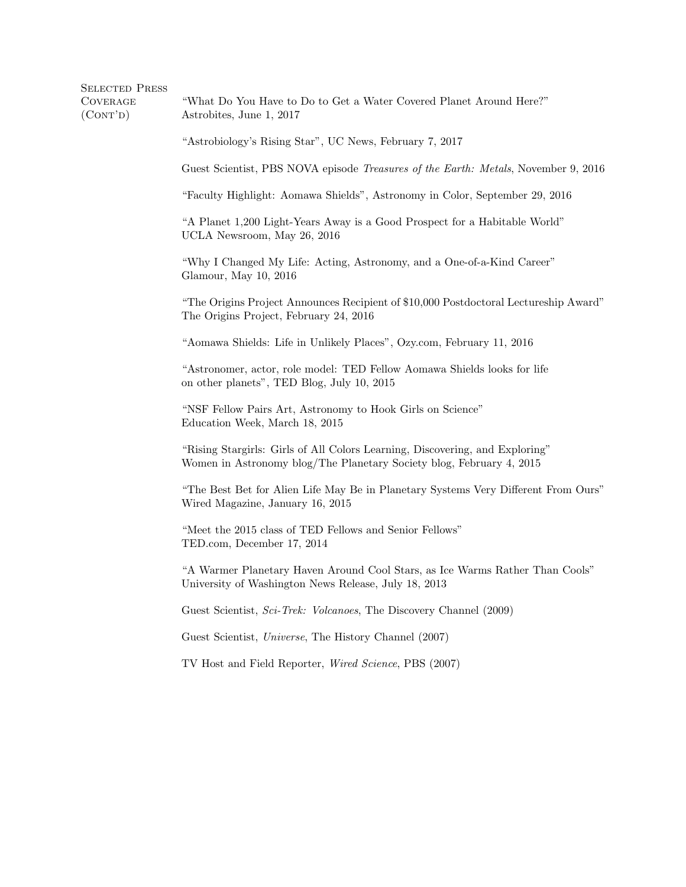| <b>SELECTED PRESS</b><br><b>COVERAGE</b><br>(CONT'D) | "What Do You Have to Do to Get a Water Covered Planet Around Here?"<br>Astrobites, June 1, 2017                                                      |
|------------------------------------------------------|------------------------------------------------------------------------------------------------------------------------------------------------------|
|                                                      | "Astrobiology's Rising Star", UC News, February 7, 2017                                                                                              |
|                                                      | Guest Scientist, PBS NOVA episode Treasures of the Earth: Metals, November 9, 2016                                                                   |
|                                                      | "Faculty Highlight: Aomawa Shields", Astronomy in Color, September 29, 2016                                                                          |
|                                                      | "A Planet 1,200 Light-Years Away is a Good Prospect for a Habitable World"<br>UCLA Newsroom, May 26, 2016                                            |
|                                                      | "Why I Changed My Life: Acting, Astronomy, and a One-of-a-Kind Career"<br>Glamour, May 10, 2016                                                      |
|                                                      | "The Origins Project Announces Recipient of \$10,000 Postdoctoral Lectureship Award"<br>The Origins Project, February 24, 2016                       |
|                                                      | "Aomawa Shields: Life in Unlikely Places", Ozy.com, February 11, 2016                                                                                |
|                                                      | "Astronomer, actor, role model: TED Fellow Aomawa Shields looks for life<br>on other planets", TED Blog, July 10, 2015                               |
|                                                      | "NSF Fellow Pairs Art, Astronomy to Hook Girls on Science"<br>Education Week, March 18, 2015                                                         |
|                                                      | "Rising Stargirls: Girls of All Colors Learning, Discovering, and Exploring"<br>Women in Astronomy blog/The Planetary Society blog, February 4, 2015 |
|                                                      | "The Best Bet for Alien Life May Be in Planetary Systems Very Different From Ours"<br>Wired Magazine, January 16, 2015                               |
|                                                      | "Meet the 2015 class of TED Fellows and Senior Fellows"<br>TED.com, December 17, 2014                                                                |
|                                                      | "A Warmer Planetary Haven Around Cool Stars, as Ice Warms Rather Than Cools"<br>University of Washington News Release, July 18, 2013                 |
|                                                      | Guest Scientist, Sci-Trek: Volcanoes, The Discovery Channel (2009)                                                                                   |
|                                                      | Guest Scientist, Universe, The History Channel (2007)                                                                                                |
|                                                      | TV Host and Field Reporter, Wired Science, PBS (2007)                                                                                                |
|                                                      |                                                                                                                                                      |
|                                                      |                                                                                                                                                      |
|                                                      |                                                                                                                                                      |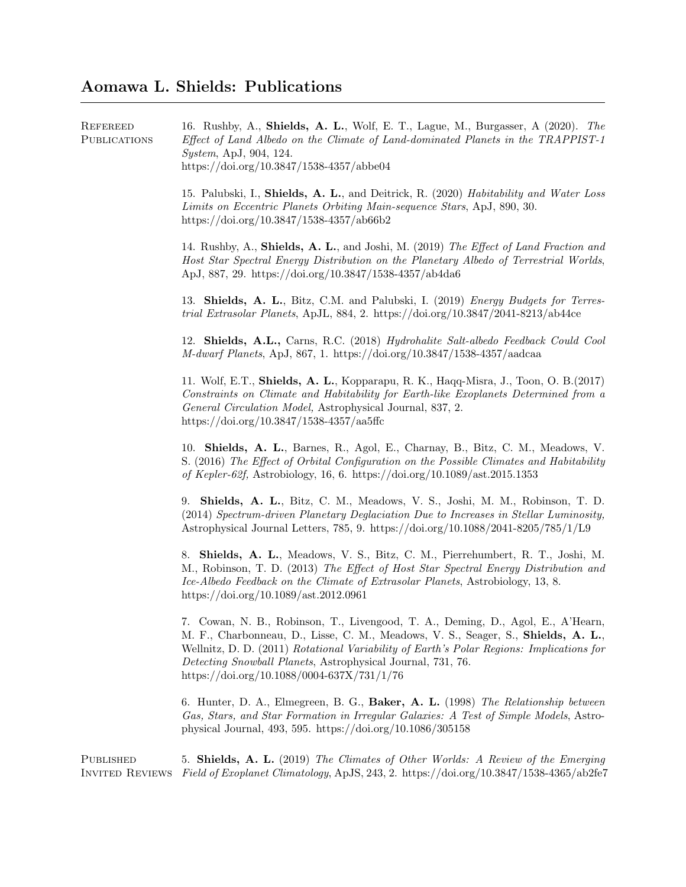## Aomawa L. Shields: Publications

| <b>REFEREED</b><br><b>PUBLICATIONS</b>     | 16. Rushby, A., Shields, A. L., Wolf, E. T., Lague, M., Burgasser, A (2020). The<br>Effect of Land Albedo on the Climate of Land-dominated Planets in the TRAPPIST-1<br><i>System, ApJ, 904, 124.</i><br>https://doi.org/10.3847/1538-4357/abbe04                                                                                                                             |
|--------------------------------------------|-------------------------------------------------------------------------------------------------------------------------------------------------------------------------------------------------------------------------------------------------------------------------------------------------------------------------------------------------------------------------------|
|                                            | 15. Palubski, I., Shields, A. L., and Deitrick, R. (2020) Habitability and Water Loss<br>Limits on Eccentric Planets Orbiting Main-sequence Stars, ApJ, 890, 30.<br>https://doi.org/10.3847/1538-4357/ab66b2                                                                                                                                                                  |
|                                            | 14. Rushby, A., Shields, A. L., and Joshi, M. (2019) The Effect of Land Fraction and<br>Host Star Spectral Energy Distribution on the Planetary Albedo of Terrestrial Worlds,<br>ApJ, 887, 29. https://doi.org/10.3847/1538-4357/ab4da6                                                                                                                                       |
|                                            | 13. Shields, A. L., Bitz, C.M. and Palubski, I. (2019) <i>Energy Budgets for Terres</i> -<br>trial Extrasolar Planets, ApJL, 884, 2. https://doi.org/10.3847/2041-8213/ab44ce                                                                                                                                                                                                 |
|                                            | 12. Shields, A.L., Carns, R.C. (2018) Hydrohalite Salt-albedo Feedback Could Cool<br>$M$ -dwarf Planets, ApJ, 867, 1. https://doi.org/10.3847/1538-4357/aadcaa                                                                                                                                                                                                                |
|                                            | 11. Wolf, E.T., Shields, A. L., Kopparapu, R. K., Haqq-Misra, J., Toon, O. B.(2017)<br>Constraints on Climate and Habitability for Earth-like Exoplanets Determined from a<br>General Circulation Model, Astrophysical Journal, 837, 2.<br>https://doi.org/10.3847/1538-4357/aa5ffc                                                                                           |
|                                            | 10. Shields, A. L., Barnes, R., Agol, E., Charnay, B., Bitz, C. M., Meadows, V.<br>S. (2016) The Effect of Orbital Configuration on the Possible Climates and Habitability<br>of Kepler-62f, Astrobiology, 16, 6. https://doi.org/10.1089/ast.2015.1353                                                                                                                       |
|                                            | 9. Shields, A. L., Bitz, C. M., Meadows, V. S., Joshi, M. M., Robinson, T. D.<br>(2014) Spectrum-driven Planetary Deglaciation Due to Increases in Stellar Luminosity,<br>Astrophysical Journal Letters, 785, 9. https://doi.org/10.1088/2041-8205/785/1/L9                                                                                                                   |
|                                            | 8. Shields, A. L., Meadows, V. S., Bitz, C. M., Pierrehumbert, R. T., Joshi, M.<br>M., Robinson, T. D. (2013) The Effect of Host Star Spectral Energy Distribution and<br>Ice-Albedo Feedback on the Climate of Extrasolar Planets, Astrobiology, 13, 8.<br>https://doi.org/10.1089/ast.2012.0961                                                                             |
|                                            | 7. Cowan, N. B., Robinson, T., Livengood, T. A., Deming, D., Agol, E., A'Hearn,<br>M. F., Charbonneau, D., Lisse, C. M., Meadows, V. S., Seager, S., Shields, A. L.,<br>Wellnitz, D. D. (2011) Rotational Variability of Earth's Polar Regions: Implications for<br>Detecting Snowball Planets, Astrophysical Journal, 731, 76.<br>https://doi.org/10.1088/0004-637X/731/1/76 |
|                                            | 6. Hunter, D. A., Elmegreen, B. G., Baker, A. L. (1998) The Relationship between<br>Gas, Stars, and Star Formation in Irregular Galaxies: A Test of Simple Models, Astro-<br>physical Journal, 493, 595. https://doi.org/10.1086/305158                                                                                                                                       |
| <b>PUBLISHED</b><br><b>INVITED REVIEWS</b> | 5. Shields, A. L. (2019) The Climates of Other Worlds: A Review of the Emerging<br>Field of Exoplanet Climatology, ApJS, 243, 2. https://doi.org/10.3847/1538-4365/ab2fe7                                                                                                                                                                                                     |